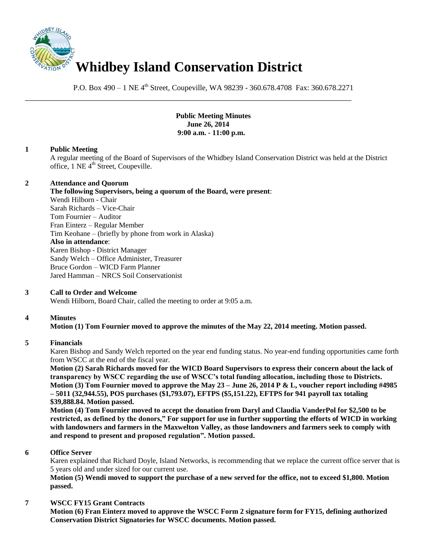

P.O. Box 490 – 1 NE 4<sup>th</sup> Street, Coupeville, WA 98239 - 360.678.4708 Fax: 360.678.2271

\_\_\_\_\_\_\_\_\_\_\_\_\_\_\_\_\_\_\_\_\_\_\_\_\_\_\_\_\_\_\_\_\_\_\_\_\_\_\_\_\_\_\_\_\_\_\_\_\_\_\_\_\_\_\_\_\_\_\_\_\_\_\_\_\_\_\_\_\_\_\_\_\_\_\_\_\_\_

**Public Meeting Minutes June 26, 2014 9:00 a.m. - 11:00 p.m.**

# **1 Public Meeting**

A regular meeting of the Board of Supervisors of the Whidbey Island Conservation District was held at the District office, 1 NE 4<sup>th</sup> Street, Coupeville.

#### **2 Attendance and Quorum**

**The following Supervisors, being a quorum of the Board, were present**:

Wendi Hilborn - Chair Sarah Richards – Vice-Chair Tom Fournier – Auditor Fran Einterz – Regular Member Tim Keohane – (briefly by phone from work in Alaska) **Also in attendance**: Karen Bishop - District Manager Sandy Welch – Office Administer, Treasurer Bruce Gordon – WICD Farm Planner Jared Hamman – NRCS Soil Conservationist

# **3 Call to Order and Welcome**

Wendi Hilborn, Board Chair, called the meeting to order at 9:05 a.m.

# **4 Minutes**

# **Motion (1) Tom Fournier moved to approve the minutes of the May 22, 2014 meeting. Motion passed.**

#### **5 Financials**

Karen Bishop and Sandy Welch reported on the year end funding status. No year-end funding opportunities came forth from WSCC at the end of the fiscal year.

**Motion (2) Sarah Richards moved for the WICD Board Supervisors to express their concern about the lack of transparency by WSCC regarding the use of WSCC's total funding allocation, including those to Districts. Motion (3) Tom Fournier moved to approve the May 23 – June 26, 2014 P & L, voucher report including #4985 – 5011 (32,944.55), POS purchases (\$1,793.07), EFTPS (\$5,151.22), EFTPS for 941 payroll tax totaling \$39,888.84. Motion passed.**

**Motion (4) Tom Fournier moved to accept the donation from Daryl and Claudia VanderPol for \$2,500 to be restricted, as defined by the donors," For support for use in further supporting the efforts of WICD in working with landowners and farmers in the Maxwelton Valley, as those landowners and farmers seek to comply with and respond to present and proposed regulation". Motion passed.** 

#### **6 Office Server**

Karen explained that Richard Doyle, Island Networks, is recommending that we replace the current office server that is 5 years old and under sized for our current use.

**Motion (5) Wendi moved to support the purchase of a new served for the office, not to exceed \$1,800. Motion passed.** 

#### **7 WSCC FY15 Grant Contracts**

**Motion (6) Fran Einterz moved to approve the WSCC Form 2 signature form for FY15, defining authorized Conservation District Signatories for WSCC documents. Motion passed.**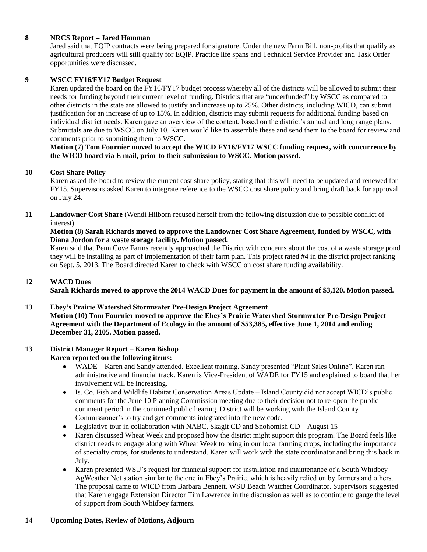# **8 NRCS Report – Jared Hamman**

Jared said that EQIP contracts were being prepared for signature. Under the new Farm Bill, non-profits that qualify as agricultural producers will still qualify for EQIP. Practice life spans and Technical Service Provider and Task Order opportunities were discussed.

# **9 WSCC FY16/FY17 Budget Request**

Karen updated the board on the FY16/FY17 budget process whereby all of the districts will be allowed to submit their needs for funding beyond their current level of funding. Districts that are "underfunded" by WSCC as compared to other districts in the state are allowed to justify and increase up to 25%. Other districts, including WICD, can submit justification for an increase of up to 15%. In addition, districts may submit requests for additional funding based on individual district needs. Karen gave an overview of the content, based on the district's annual and long range plans. Submittals are due to WSCC on July 10. Karen would like to assemble these and send them to the board for review and comments prior to submitting them to WSCC.

## **Motion (7) Tom Fournier moved to accept the WICD FY16/FY17 WSCC funding request, with concurrence by the WICD board via E mail, prior to their submission to WSCC. Motion passed.**

#### **10 Cost Share Policy**

Karen asked the board to review the current cost share policy, stating that this will need to be updated and renewed for FY15. Supervisors asked Karen to integrate reference to the WSCC cost share policy and bring draft back for approval on July 24.

## **11 Landowner Cost Share** (Wendi Hilborn recused herself from the following discussion due to possible conflict of interest)

## **Motion (8) Sarah Richards moved to approve the Landowner Cost Share Agreement, funded by WSCC, with Diana Jordon for a waste storage facility. Motion passed.**

Karen said that Penn Cove Farms recently approached the District with concerns about the cost of a waste storage pond they will be installing as part of implementation of their farm plan. This project rated #4 in the district project ranking on Sept. 5, 2013. The Board directed Karen to check with WSCC on cost share funding availability.

# **12 WACD Dues**

**Sarah Richards moved to approve the 2014 WACD Dues for payment in the amount of \$3,120. Motion passed.** 

**13 Ebey's Prairie Watershed Stormwater Pre-Design Project Agreement Motion (10) Tom Fournier moved to approve the Ebey's Prairie Watershed Stormwater Pre-Design Project Agreement with the Department of Ecology in the amount of \$53,385, effective June 1, 2014 and ending December 31, 2105. Motion passed.** 

#### **13 District Manager Report – Karen Bishop Karen reported on the following items:**

- WADE Karen and Sandy attended. Excellent training. Sandy presented "Plant Sales Online". Karen ran administrative and financial track. Karen is Vice-President of WADE for FY15 and explained to board that her involvement will be increasing.
- Is. Co. Fish and Wildlife Habitat Conservation Areas Update Island County did not accept WICD's public comments for the June 10 Planning Commission meeting due to their decision not to re-open the public comment period in the continued public hearing. District will be working with the Island County Commissioner's to try and get comments integrated into the new code.
- Legislative tour in collaboration with NABC, Skagit CD and Snohomish CD August 15
- Karen discussed Wheat Week and proposed how the district might support this program. The Board feels like district needs to engage along with Wheat Week to bring in our local farming crops, including the importance of specialty crops, for students to understand. Karen will work with the state coordinator and bring this back in July.
- Karen presented WSU's request for financial support for installation and maintenance of a South Whidbey AgWeather Net station similar to the one in Ebey's Prairie, which is heavily relied on by farmers and others. The proposal came to WICD from Barbara Bennett, WSU Beach Watcher Coordinator. Supervisors suggested that Karen engage Extension Director Tim Lawrence in the discussion as well as to continue to gauge the level of support from South Whidbey farmers.